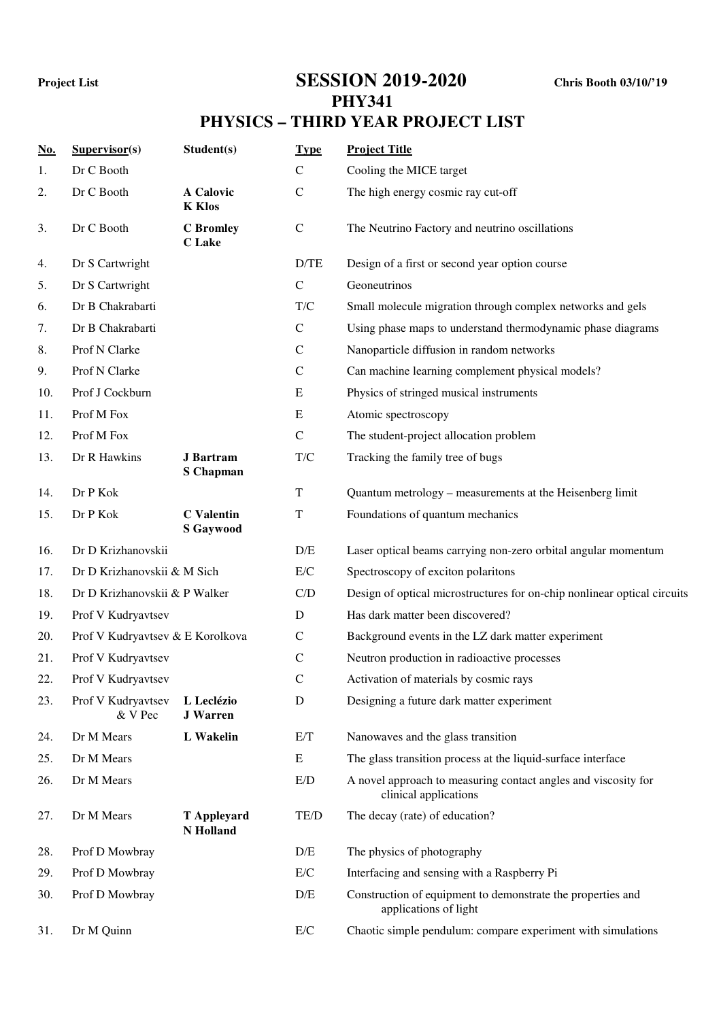## **Project List SESSION 2019-2020 Chris Booth 03/10/'19 PHY341**

## **PHYSICS – THIRD YEAR PROJECT LIST**

| <u>No.</u> | Supervisor(s)                    | Student(s)                            | <b>Type</b>  | <b>Project Title</b>                                                                    |
|------------|----------------------------------|---------------------------------------|--------------|-----------------------------------------------------------------------------------------|
| 1.         | Dr C Booth                       |                                       | $\mathsf{C}$ | Cooling the MICE target                                                                 |
| 2.         | Dr C Booth                       | A Calovic<br><b>K</b> Klos            | $\mathsf{C}$ | The high energy cosmic ray cut-off                                                      |
| 3.         | Dr C Booth                       | <b>C</b> Bromley<br><b>C</b> Lake     | $\mathbf C$  | The Neutrino Factory and neutrino oscillations                                          |
| 4.         | Dr S Cartwright                  |                                       | D/TE         | Design of a first or second year option course                                          |
| 5.         | Dr S Cartwright                  |                                       | $\mathbf C$  | Geoneutrinos                                                                            |
| 6.         | Dr B Chakrabarti                 |                                       | T/C          | Small molecule migration through complex networks and gels                              |
| 7.         | Dr B Chakrabarti                 |                                       | $\mathbf C$  | Using phase maps to understand thermodynamic phase diagrams                             |
| 8.         | Prof N Clarke                    |                                       | $\mathbf C$  | Nanoparticle diffusion in random networks                                               |
| 9.         | Prof N Clarke                    |                                       | $\mathsf{C}$ | Can machine learning complement physical models?                                        |
| 10.        | Prof J Cockburn                  |                                       | E            | Physics of stringed musical instruments                                                 |
| 11.        | Prof M Fox                       |                                       | E            | Atomic spectroscopy                                                                     |
| 12.        | Prof M Fox                       |                                       | $\mathsf{C}$ | The student-project allocation problem                                                  |
| 13.        | Dr R Hawkins                     | <b>J</b> Bartram<br><b>S</b> Chapman  | T/C          | Tracking the family tree of bugs                                                        |
| 14.        | Dr P Kok                         |                                       | T            | Quantum metrology – measurements at the Heisenberg limit                                |
| 15.        | Dr P Kok                         | <b>C</b> Valentin<br><b>S</b> Gaywood | $\mathbf T$  | Foundations of quantum mechanics                                                        |
| 16.        | Dr D Krizhanovskii               |                                       | D/E          | Laser optical beams carrying non-zero orbital angular momentum                          |
| 17.        | Dr D Krizhanovskii & M Sich      |                                       | E/C          | Spectroscopy of exciton polaritons                                                      |
| 18.        | Dr D Krizhanovskii & P Walker    |                                       | C/D          | Design of optical microstructures for on-chip nonlinear optical circuits                |
| 19.        | Prof V Kudryavtsev               |                                       | D            | Has dark matter been discovered?                                                        |
| 20.        | Prof V Kudryavtsev & E Korolkova |                                       | $\mathsf{C}$ | Background events in the LZ dark matter experiment                                      |
| 21.        | Prof V Kudryavtsev               |                                       | $\mathbf C$  | Neutron production in radioactive processes                                             |
| 22.        | Prof V Kudryavtsev               |                                       | $\mathbf C$  | Activation of materials by cosmic rays                                                  |
| 23.        | Prof V Kudryavtsev<br>& V Pec    | L Leclézio<br><b>J</b> Warren         | $\mathbf D$  | Designing a future dark matter experiment                                               |
| 24.        | Dr M Mears                       | L Wakelin                             | E/T          | Nanowaves and the glass transition                                                      |
| 25.        | Dr M Mears                       |                                       | E            | The glass transition process at the liquid-surface interface                            |
| 26.        | Dr M Mears                       |                                       | E/D          | A novel approach to measuring contact angles and viscosity for<br>clinical applications |
| 27.        | Dr M Mears                       | <b>T</b> Appleyard<br>N Holland       | TE/D         | The decay (rate) of education?                                                          |
| 28.        | Prof D Mowbray                   |                                       | D/E          | The physics of photography                                                              |
| 29.        | Prof D Mowbray                   |                                       | $\rm E/C$    | Interfacing and sensing with a Raspberry Pi                                             |
| 30.        | Prof D Mowbray                   |                                       | D/E          | Construction of equipment to demonstrate the properties and<br>applications of light    |
| 31.        | Dr M Quinn                       |                                       | E/C          | Chaotic simple pendulum: compare experiment with simulations                            |